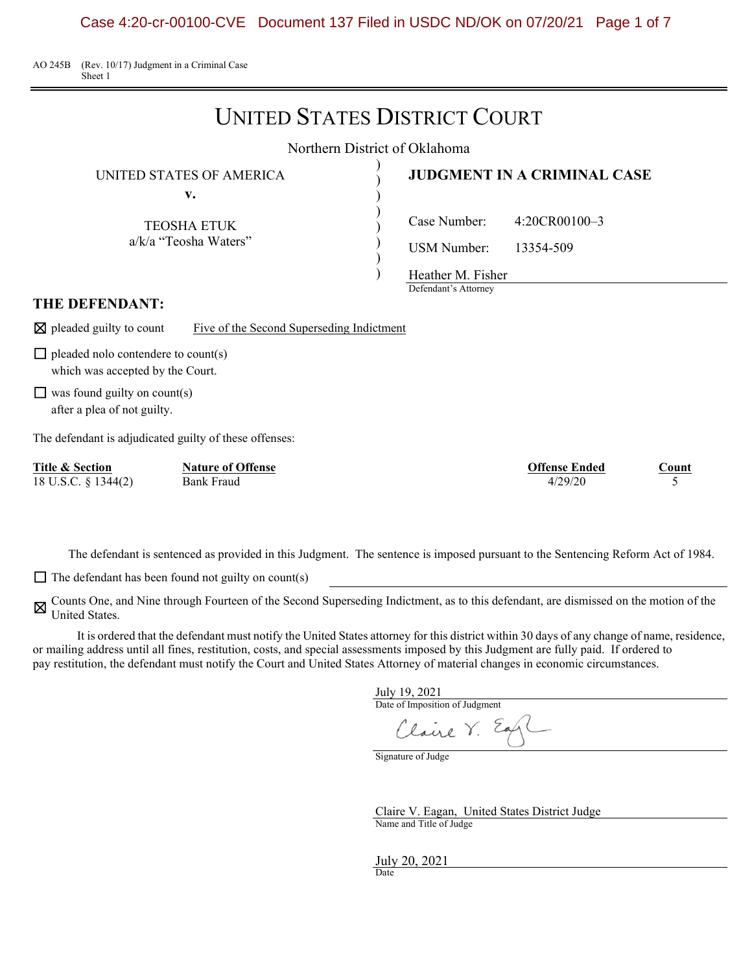AO 245B (Rev. 10/17) Judgment in a Criminal Case Sheet 1

# UNITED STATES DISTRICT COURT

Northern District of Oklahoma

) ) ) ) ) ) )

UNITED STATES OF AMERICA )

**v.**

TEOSHA ETUK a/k/a "Teosha Waters"

## **JUDGMENT IN A CRIMINAL CASE**

Case Number: 4:20CR00100–3

USM Number: 13354-509

Heather M. Fisher

Defendant's Attorney

#### **THE DEFENDANT:**

 $\boxtimes$  pleaded guilty to count Five of the Second Superseding Indictment

 $\Box$  pleaded nolo contendere to count(s) which was accepted by the Court.

 $\Box$  was found guilty on count(s) after a plea of not guilty.

The defendant is adjudicated guilty of these offenses:

| Title & Section     | <b>Nature of Offense</b> | <b>Offense Ended</b> | ountا |
|---------------------|--------------------------|----------------------|-------|
| 18 U.S.C. § 1344(2) | Bank Fraud               | 4/29/20              |       |

The defendant is sentenced as provided in this Judgment. The sentence is imposed pursuant to the Sentencing Reform Act of 1984.

 $\Box$  The defendant has been found not guilty on count(s)

⊠ Counts One, and Nine through Fourteen of the Second Superseding Indictment, as to this defendant, are dismissed on the motion of the IInited States United States.

It is ordered that the defendant must notify the United States attorney for this district within 30 days of any change of name, residence, or mailing address until all fines, restitution, costs, and special assessments imposed by this Judgment are fully paid. If ordered to pay restitution, the defendant must notify the Court and United States Attorney of material changes in economic circumstances.

July 19, 2021

Date of Imposition of Judgment Claire V.

Signature of Judge

Claire V. Eagan, United States District Judge Name and Title of Judge

July 20, 2021 Date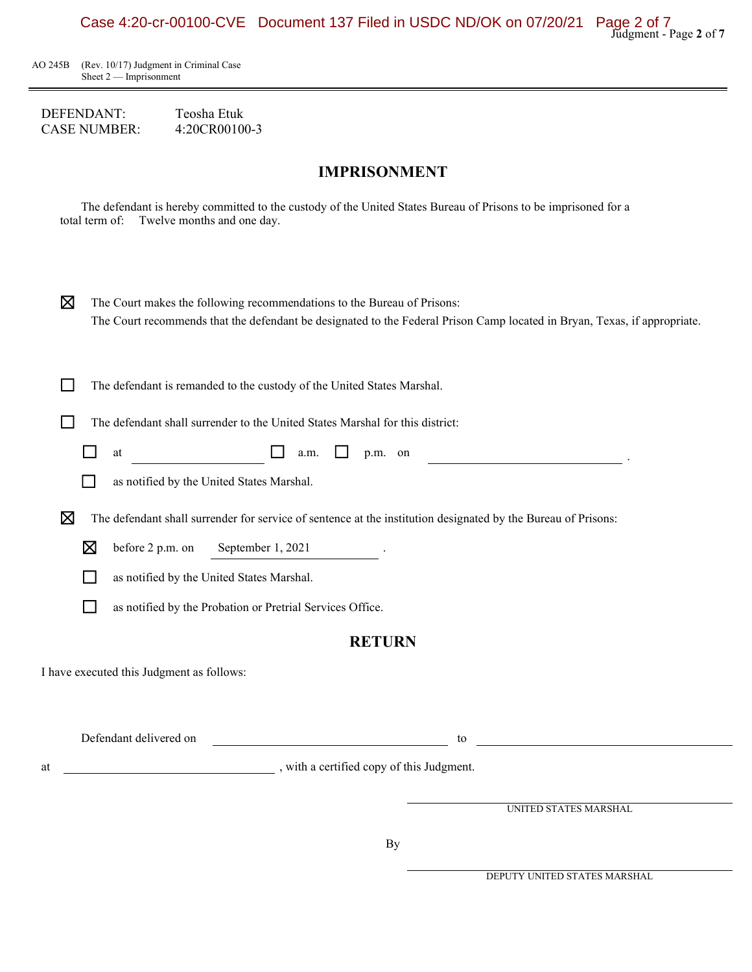

AO 245B (Rev. 10/17) Judgment in Criminal Case Sheet 2 — Imprisonment

DEFENDANT: Teosha Etuk<br>CASE NUMBER: 4:20CR00100-3 **CASE NUMBER:** 

## **IMPRISONMENT**

The defendant is hereby committed to the custody of the United States Bureau of Prisons to be imprisoned for a total term of: Twelve months and one day.

| X           | The Court makes the following recommendations to the Bureau of Prisons:                                                   |  |
|-------------|---------------------------------------------------------------------------------------------------------------------------|--|
|             | The Court recommends that the defendant be designated to the Federal Prison Camp located in Bryan, Texas, if appropriate. |  |
|             |                                                                                                                           |  |
|             |                                                                                                                           |  |
|             | The defendant is remanded to the custody of the United States Marshal.                                                    |  |
|             | The defendant shall surrender to the United States Marshal for this district:                                             |  |
|             | at<br>p.m. on<br>a.m.                                                                                                     |  |
|             | as notified by the United States Marshal.                                                                                 |  |
| $\boxtimes$ | The defendant shall surrender for service of sentence at the institution designated by the Bureau of Prisons:             |  |
|             | before 2 p.m. on<br>September 1, 2021<br>⊠                                                                                |  |

□ as notified by the Probation or Pretrial Services Office.

**□** as notified by the United States Marshal.

### **RETURN**

I have executed this Judgment as follows:

Defendant delivered on to the contract of the contract of the contract of the contract of the contract of the contract of the contract of the contract of the contract of the contract of the contract of the contract of the

at , with a certified copy of this Judgment.

UNITED STATES MARSHAL

DEPUTY UNITED STATES MARSHAL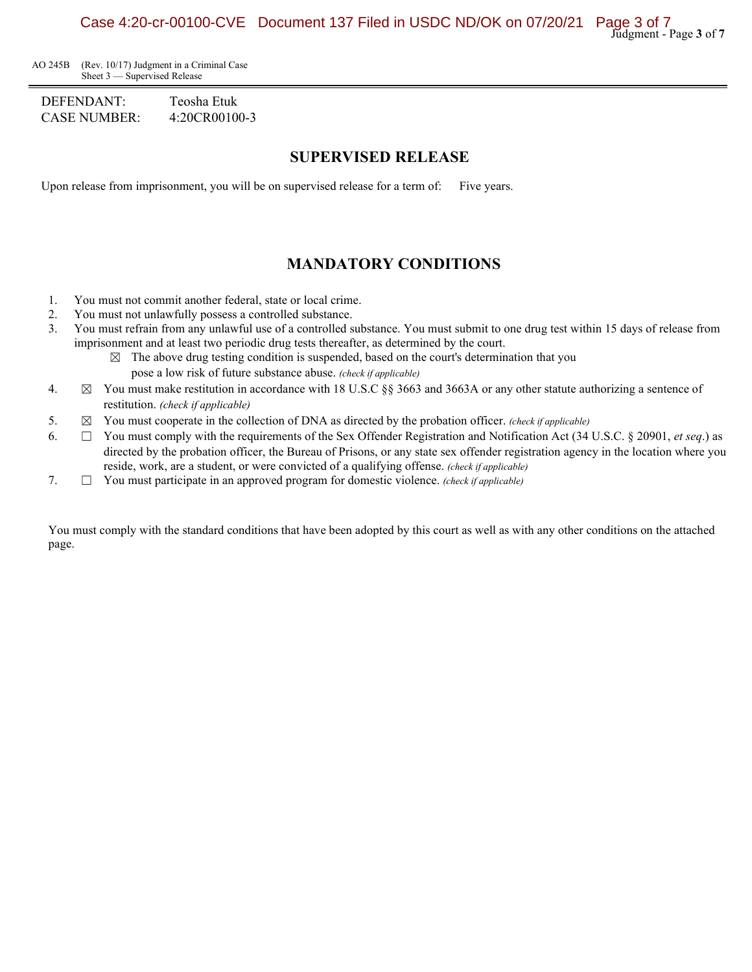AO 245B (Rev. 10/17) Judgment in a Criminal Case Sheet 3 — Supervised Release

DEFENDANT: Teosha Etuk CASE NUMBER: 4:20CR00100-3

### **SUPERVISED RELEASE**

Upon release from imprisonment, you will be on supervised release for a term of: Five years.

## **MANDATORY CONDITIONS**

- 1. You must not commit another federal, state or local crime.
- 2. You must not unlawfully possess a controlled substance.
- 3. You must refrain from any unlawful use of a controlled substance. You must submit to one drug test within 15 days of release from imprisonment and at least two periodic drug tests thereafter, as determined by the court.
	- $\boxtimes$  The above drug testing condition is suspended, based on the court's determination that you pose a low risk of future substance abuse. *(check if applicable)*
- 4.  $\boxtimes$  You must make restitution in accordance with 18 U.S.C §§ 3663 and 3663A or any other statute authorizing a sentence of restitution. *(check if applicable)*
- 5. ☒ You must cooperate in the collection of DNA as directed by the probation officer. *(check if applicable)*
- 6.  $\Box$  You must comply with the requirements of the Sex Offender Registration and Notification Act (34 U.S.C. § 20901, *et seq.*) as directed by the probation officer, the Bureau of Prisons, or any state sex offender registration agency in the location where you reside, work, are a student, or were convicted of a qualifying offense. *(check if applicable)*
- 7. ☐ You must participate in an approved program for domestic violence. *(check if applicable)*

You must comply with the standard conditions that have been adopted by this court as well as with any other conditions on the attached page.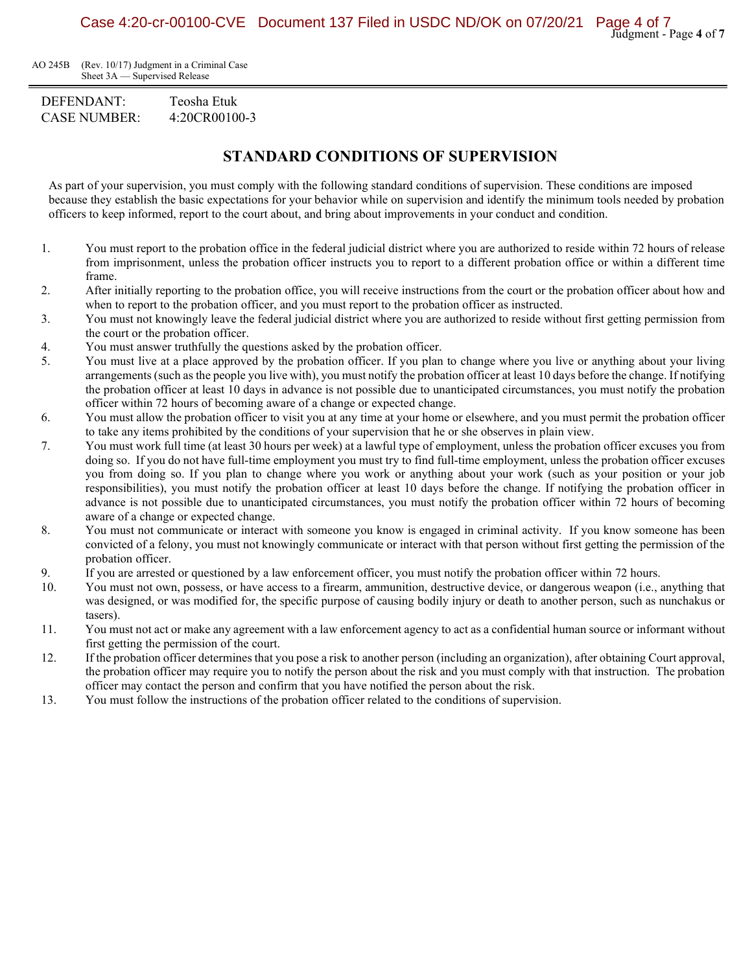AO 245B (Rev. 10/17) Judgment in a Criminal Case Sheet 3A — Supervised Release

DEFENDANT: Teosha Etuk CASE NUMBER: 4:20CR00100-3

## **STANDARD CONDITIONS OF SUPERVISION**

As part of your supervision, you must comply with the following standard conditions of supervision. These conditions are imposed because they establish the basic expectations for your behavior while on supervision and identify the minimum tools needed by probation officers to keep informed, report to the court about, and bring about improvements in your conduct and condition.

- 1. You must report to the probation office in the federal judicial district where you are authorized to reside within 72 hours of release from imprisonment, unless the probation officer instructs you to report to a different probation office or within a different time frame.
- 2. After initially reporting to the probation office, you will receive instructions from the court or the probation officer about how and when to report to the probation officer, and you must report to the probation officer as instructed.
- 3. You must not knowingly leave the federal judicial district where you are authorized to reside without first getting permission from the court or the probation officer.
- 4. You must answer truthfully the questions asked by the probation officer.
- 5. You must live at a place approved by the probation officer. If you plan to change where you live or anything about your living arrangements (such as the people you live with), you must notify the probation officer at least 10 days before the change. If notifying the probation officer at least 10 days in advance is not possible due to unanticipated circumstances, you must notify the probation officer within 72 hours of becoming aware of a change or expected change.
- 6. You must allow the probation officer to visit you at any time at your home or elsewhere, and you must permit the probation officer to take any items prohibited by the conditions of your supervision that he or she observes in plain view.
- 7. You must work full time (at least 30 hours per week) at a lawful type of employment, unless the probation officer excuses you from doing so. If you do not have full-time employment you must try to find full-time employment, unless the probation officer excuses you from doing so. If you plan to change where you work or anything about your work (such as your position or your job responsibilities), you must notify the probation officer at least 10 days before the change. If notifying the probation officer in advance is not possible due to unanticipated circumstances, you must notify the probation officer within 72 hours of becoming aware of a change or expected change.
- 8. You must not communicate or interact with someone you know is engaged in criminal activity. If you know someone has been convicted of a felony, you must not knowingly communicate or interact with that person without first getting the permission of the probation officer.
- 9. If you are arrested or questioned by a law enforcement officer, you must notify the probation officer within 72 hours.
- 10. You must not own, possess, or have access to a firearm, ammunition, destructive device, or dangerous weapon (i.e., anything that was designed, or was modified for, the specific purpose of causing bodily injury or death to another person, such as nunchakus or tasers).
- 11. You must not act or make any agreement with a law enforcement agency to act as a confidential human source or informant without first getting the permission of the court.
- 12. If the probation officer determines that you pose a risk to another person (including an organization), after obtaining Court approval, the probation officer may require you to notify the person about the risk and you must comply with that instruction. The probation officer may contact the person and confirm that you have notified the person about the risk.
- 13. You must follow the instructions of the probation officer related to the conditions of supervision.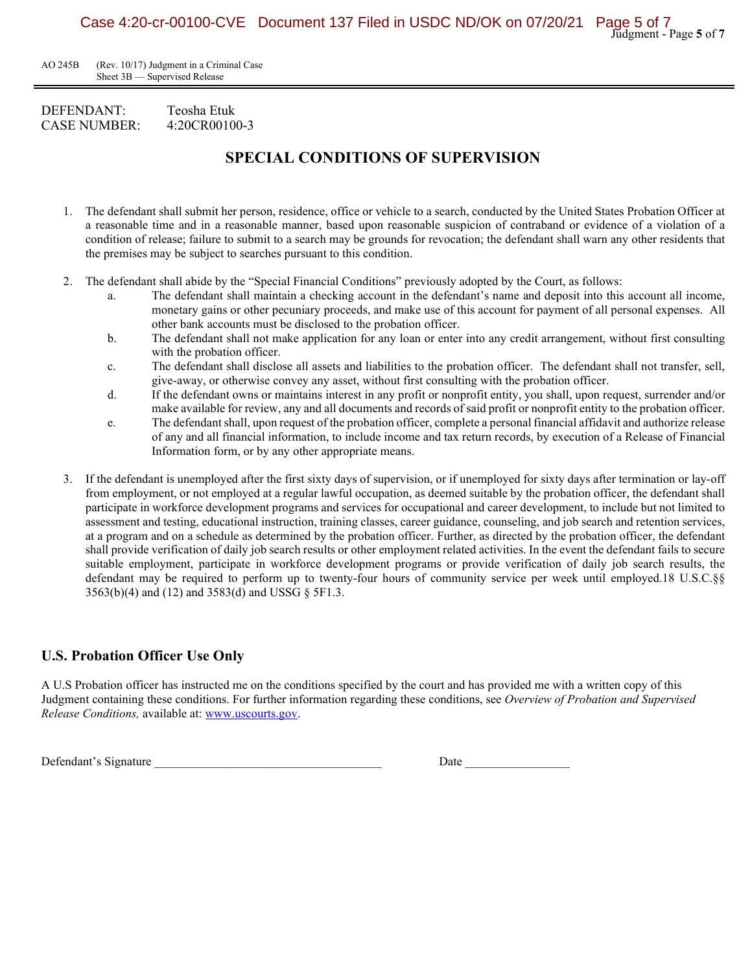AO 245B (Rev. 10/17) Judgment in a Criminal Case Sheet 3B — Supervised Release

#### DEFENDANT: Teosha Etuk CASE NUMBER: 4:20CR00100-3

# **SPECIAL CONDITIONS OF SUPERVISION**

- 1. The defendant shall submit her person, residence, office or vehicle to a search, conducted by the United States Probation Officer at a reasonable time and in a reasonable manner, based upon reasonable suspicion of contraband or evidence of a violation of a condition of release; failure to submit to a search may be grounds for revocation; the defendant shall warn any other residents that the premises may be subject to searches pursuant to this condition.
- 2. The defendant shall abide by the "Special Financial Conditions" previously adopted by the Court, as follows:
	- a. The defendant shall maintain a checking account in the defendant's name and deposit into this account all income, monetary gains or other pecuniary proceeds, and make use of this account for payment of all personal expenses. All other bank accounts must be disclosed to the probation officer.
	- b. The defendant shall not make application for any loan or enter into any credit arrangement, without first consulting with the probation officer.
	- c. The defendant shall disclose all assets and liabilities to the probation officer. The defendant shall not transfer, sell, give-away, or otherwise convey any asset, without first consulting with the probation officer.
	- d. If the defendant owns or maintains interest in any profit or nonprofit entity, you shall, upon request, surrender and/or make available for review, any and all documents and records of said profit or nonprofit entity to the probation officer.
	- e. The defendant shall, upon request of the probation officer, complete a personal financial affidavit and authorize release of any and all financial information, to include income and tax return records, by execution of a Release of Financial Information form, or by any other appropriate means.
- 3. If the defendant is unemployed after the first sixty days of supervision, or if unemployed for sixty days after termination or lay-off from employment, or not employed at a regular lawful occupation, as deemed suitable by the probation officer, the defendant shall participate in workforce development programs and services for occupational and career development, to include but not limited to assessment and testing, educational instruction, training classes, career guidance, counseling, and job search and retention services, at a program and on a schedule as determined by the probation officer. Further, as directed by the probation officer, the defendant shall provide verification of daily job search results or other employment related activities. In the event the defendant fails to secure suitable employment, participate in workforce development programs or provide verification of daily job search results, the defendant may be required to perform up to twenty-four hours of community service per week until employed.18 U.S.C.§§ 3563(b)(4) and (12) and 3583(d) and USSG § 5F1.3.

### **U.S. Probation Officer Use Only**

A U.S Probation officer has instructed me on the conditions specified by the court and has provided me with a written copy of this Judgment containing these conditions. For further information regarding these conditions, see *Overview of Probation and Supervised Release Conditions,* available at: [www.uscourts.gov.](http://www.uscourts.gov/)

Defendant's Signature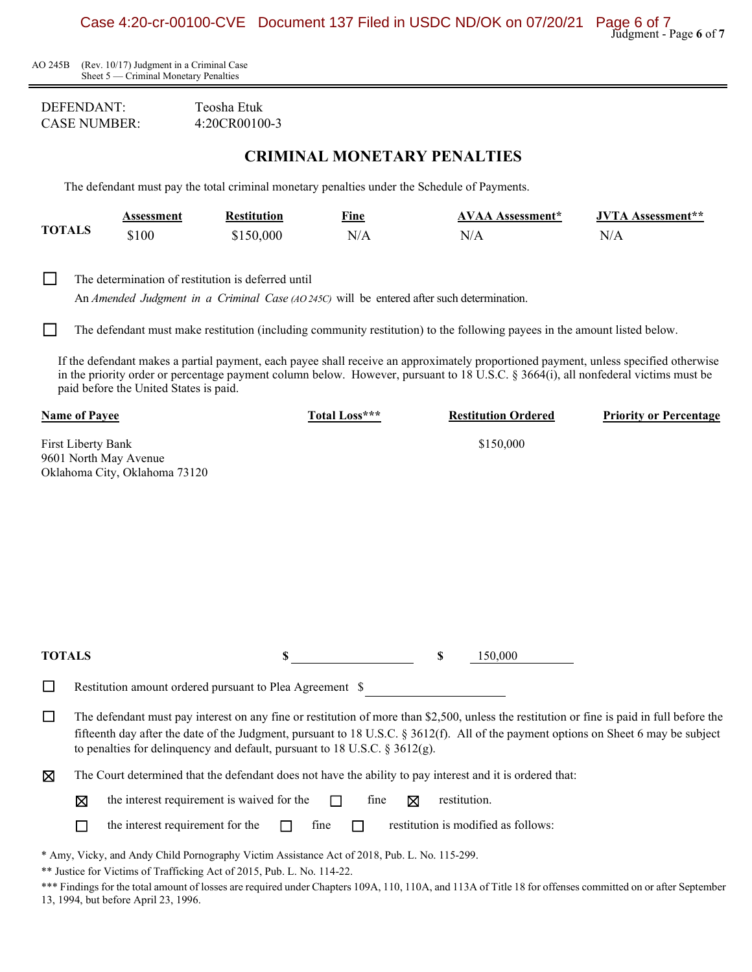AO 245B (Rev. 10/17) Judgment in a Criminal Case Sheet 5 — Criminal Monetary Penalties

| DEFENDANT:    | Teosha Etuk   |
|---------------|---------------|
| CASE NUMBER : | 4:20CR00100-3 |

## **CRIMINAL MONETARY PENALTIES**

The defendant must pay the total criminal monetary penalties under the Schedule of Payments.

|        | <b>^SSessment</b> | Restitution | Fine | AVAA Assessment* | <b>JVTA</b> Assessment** |
|--------|-------------------|-------------|------|------------------|--------------------------|
| TOTALS | ند $100$          | :150.000    | N/A  | N/r              | N/L                      |

□ The determination of restitution is deferred until

An *Amended Judgment in a Criminal Case (AO 245C)* will be entered after such determination.

□ The defendant must make restitution (including community restitution) to the following payees in the amount listed below.

If the defendant makes a partial payment, each payee shall receive an approximately proportioned payment, unless specified otherwise in the priority order or percentage payment column below. However, pursuant to 18 U.S.C. § 3664(i), all nonfederal victims must be paid before the United States is paid.

|               | <b>Name of Payee</b>                                                                                                                                                                                                                                                                                                                                               | Total Loss*** | <b>Restitution Ordered</b>          | <b>Priority or Percentage</b> |
|---------------|--------------------------------------------------------------------------------------------------------------------------------------------------------------------------------------------------------------------------------------------------------------------------------------------------------------------------------------------------------------------|---------------|-------------------------------------|-------------------------------|
|               | First Liberty Bank<br>9601 North May Avenue<br>Oklahoma City, Oklahoma 73120                                                                                                                                                                                                                                                                                       |               | \$150,000                           |                               |
|               |                                                                                                                                                                                                                                                                                                                                                                    |               |                                     |                               |
|               |                                                                                                                                                                                                                                                                                                                                                                    |               |                                     |                               |
|               |                                                                                                                                                                                                                                                                                                                                                                    |               |                                     |                               |
| <b>TOTALS</b> |                                                                                                                                                                                                                                                                                                                                                                    | S             | S<br>150,000                        |                               |
| $\Box$        | Restitution amount ordered pursuant to Plea Agreement \$                                                                                                                                                                                                                                                                                                           |               |                                     |                               |
| $\Box$        | The defendant must pay interest on any fine or restitution of more than \$2,500, unless the restitution or fine is paid in full before the<br>fifteenth day after the date of the Judgment, pursuant to 18 U.S.C. § 3612(f). All of the payment options on Sheet 6 may be subject<br>to penalties for delinquency and default, pursuant to 18 U.S.C. $\S$ 3612(g). |               |                                     |                               |
| ⊠             | The Court determined that the defendant does not have the ability to pay interest and it is ordered that:                                                                                                                                                                                                                                                          |               |                                     |                               |
|               | the interest requirement is waived for the<br>区                                                                                                                                                                                                                                                                                                                    | fine<br>⊠     | restitution.                        |                               |
|               | the interest requirement for the<br>$\Box$                                                                                                                                                                                                                                                                                                                         | fine<br>П     | restitution is modified as follows: |                               |
|               | * Amy, Vicky, and Andy Child Pornography Victim Assistance Act of 2018, Pub. L. No. 115-299.<br>** Justice for Victims of Trafficking Act of 2015, Pub. L. No. 114-22.<br>$\alpha$ d $\beta$ d $\beta$ d $\beta$ d $\beta$ d $\beta$ d $\beta$ d $\beta$ d $\beta$ d $\beta$ d $\beta$ d $\beta$ d $\beta$ d $\beta$ d $\beta$ d $\beta$ d $\beta$                 |               |                                     |                               |

\*\*\* Findings for the total amount of losses are required under Chapters 109A, 110, 110A, and 113A of Title 18 for offenses committed on or after September 13, 1994, but before April 23, 1996.